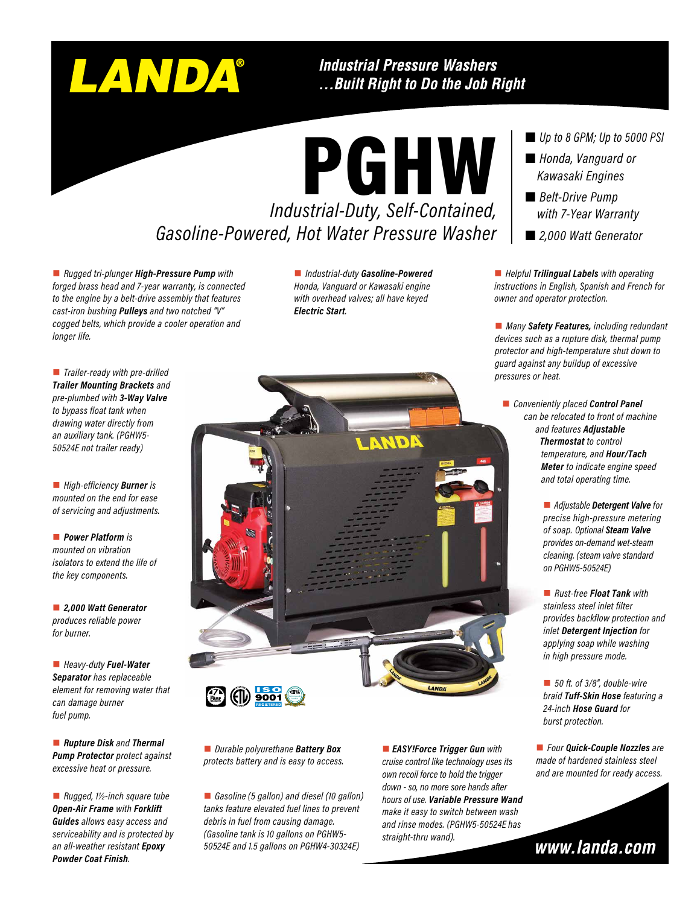# LANDA

### **Industrial Pressure Washers** ...Built Right to Do the Job Right

*Industrial-Duty, Self-Contained,*  PGHW *Gasoline-Powered, Hot Water Pressure Washer* 

■ *Rugged tri-plunger High-Pressure Pump with forged brass head and 7-year warranty, is connected to the engine by a belt-drive assembly that features cast-iron bushing Pulleys and two notched "V" cogged belts, which provide a cooler operation and longer life.*

n *Industrial-duty Gasoline-Powered Honda, Vanguard or Kawasaki engine with overhead valves; all have keyed Electric Start.*

■ *Trailer-ready with pre-drilled Trailer Mounting Brackets and pre-plumbed with 3-Way Valve to bypass float tank when drawing water directly from an auxiliary tank. (PGHW5- 50524E not trailer ready)*

■ *High-efficiency Burner* is *mounted on the end for ease of servicing and adjustments.*

**n** *Power Platform is mounted on vibration isolators to extend the life of the key components.*

n *2,000 Watt Generator produces reliable power for burner.*

n *Heavy-duty Fuel-Water Separator has replaceable element for removing water that can damage burner fuel pump.*

■ *Rupture Disk and Thermal Pump Protector protect against excessive heat or pressure.*

■ *Rugged, 1½-inch square tube Open-Air Frame with Forklift Guides allows easy access and serviceability and is protected by an all-weather resistant Epoxy Powder Coat Finish.*



**n** *Durable polyurethane Battery Box protects battery and is easy to access.*

■ *Gasoline* (5 gallon) and diesel (10 gallon) *tanks feature elevated fuel lines to prevent debris in fuel from causing damage. (Gasoline tank is 10 gallons on PGHW5- 50524E and 1.5 gallons on PGHW4-30324E)*

**n** EASY!Force Trigger Gun with *cruise control like technology uses its own recoil force to hold the trigger down - so, no more sore hands after hours of use. Variable Pressure Wand make it easy to switch between wash and rinse modes. (PGHW5-50524E has straight-thru wand).*

*Up to 8 GPM; Up to 5000 PSI*

- *Honda, Vanguard or Kawasaki Engines*
- *Belt-Drive Pump with 7-Year Warranty*
- *2,000 Watt Generator*

■ *Helpful Trilingual Labels* with operating *instructions in English, Spanish and French for owner and operator protection.*

■ *Many Safety Features, including redundant devices such as a rupture disk, thermal pump protector and high-temperature shut down to guard against any buildup of excessive pressures or heat.*

- **n** *Conveniently placed Control Panel can be relocated to front of machine and features Adjustable Thermostat to control temperature, and Hour/Tach Meter to indicate engine speed and total operating time.*
	- *Adjustable Detergent Valve for precise high-pressure metering of soap. Optional Steam Valve provides on-demand wet-steam cleaning. (steam valve standard on PGHW5-50524E)*

■ *Rust-free Float Tank with stainless steel inlet filter provides backflow protection and inlet Detergent Injection for applying soap while washing in high pressure mode.*

■ 50 ft. of 3/8", double-wire *braid Tuff-Skin Hose featuring a 24-inch Hose Guard for burst protection.*

■ *Four Quick-Couple Nozzles are made of hardened stainless steel and are mounted for ready access.*